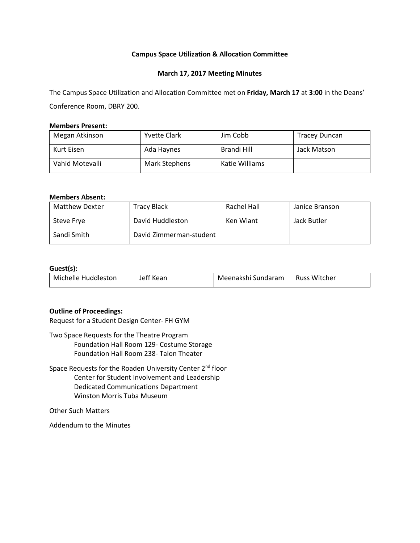## **Campus Space Utilization & Allocation Committee**

#### **March 17, 2017 Meeting Minutes**

The Campus Space Utilization and Allocation Committee met on **Friday, March 17** at **3:00** in the Deans'

Conference Room, DBRY 200.

### **Members Present:**

| Megan Atkinson  | <b>Yvette Clark</b>  | Jim Cobb       | <b>Tracey Duncan</b> |
|-----------------|----------------------|----------------|----------------------|
| Kurt Eisen      | Ada Haynes           | Brandi Hill    | Jack Matson          |
| Vahid Motevalli | <b>Mark Stephens</b> | Katie Williams |                      |

#### **Members Absent:**

| Matthew Dexter | <b>Tracy Black</b>      | Rachel Hall | Janice Branson |
|----------------|-------------------------|-------------|----------------|
| Steve Frye     | David Huddleston        | Ken Wiant   | Jack Butler    |
| Sandi Smith    | David Zimmerman-student |             |                |

### **Guest(s):**

| Michelle Huddleston | Jeff Kean | Meenakshi Sundaram | Russ Witcher |
|---------------------|-----------|--------------------|--------------|
|---------------------|-----------|--------------------|--------------|

#### **Outline of Proceedings:**

Request for a Student Design Center- FH GYM

Two Space Requests for the Theatre Program Foundation Hall Room 129- Costume Storage Foundation Hall Room 238- Talon Theater

Space Requests for the Roaden University Center 2<sup>nd</sup> floor Center for Student Involvement and Leadership Dedicated Communications Department Winston Morris Tuba Museum

Other Such Matters

Addendum to the Minutes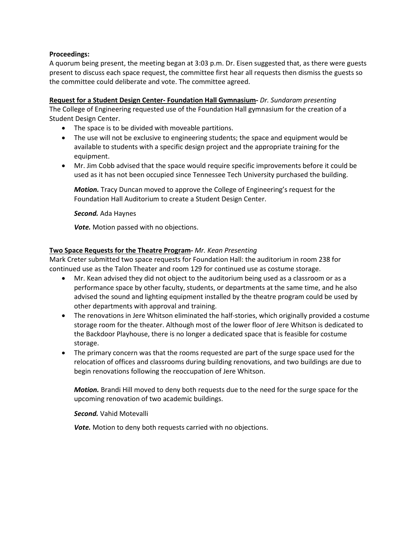# **Proceedings:**

A quorum being present, the meeting began at 3:03 p.m. Dr. Eisen suggested that, as there were guests present to discuss each space request, the committee first hear all requests then dismiss the guests so the committee could deliberate and vote. The committee agreed.

**Request for a Student Design Center- Foundation Hall Gymnasium-** *Dr. Sundaram presenting* The College of Engineering requested use of the Foundation Hall gymnasium for the creation of a Student Design Center.

- The space is to be divided with moveable partitions.
- The use will not be exclusive to engineering students; the space and equipment would be available to students with a specific design project and the appropriate training for the equipment.
- Mr. Jim Cobb advised that the space would require specific improvements before it could be used as it has not been occupied since Tennessee Tech University purchased the building.

*Motion.* Tracy Duncan moved to approve the College of Engineering's request for the Foundation Hall Auditorium to create a Student Design Center.

# *Second.* Ada Haynes

*Vote.* Motion passed with no objections.

# **Two Space Requests for the Theatre Program-** *Mr. Kean Presenting*

Mark Creter submitted two space requests for Foundation Hall: the auditorium in room 238 for continued use as the Talon Theater and room 129 for continued use as costume storage.

- Mr. Kean advised they did not object to the auditorium being used as a classroom or as a performance space by other faculty, students, or departments at the same time, and he also advised the sound and lighting equipment installed by the theatre program could be used by other departments with approval and training.
- The renovations in Jere Whitson eliminated the half-stories, which originally provided a costume storage room for the theater. Although most of the lower floor of Jere Whitson is dedicated to the Backdoor Playhouse, there is no longer a dedicated space that is feasible for costume storage.
- The primary concern was that the rooms requested are part of the surge space used for the relocation of offices and classrooms during building renovations, and two buildings are due to begin renovations following the reoccupation of Jere Whitson.

*Motion.* Brandi Hill moved to deny both requests due to the need for the surge space for the upcoming renovation of two academic buildings.

# *Second.* Vahid Motevalli

*Vote.* Motion to deny both requests carried with no objections.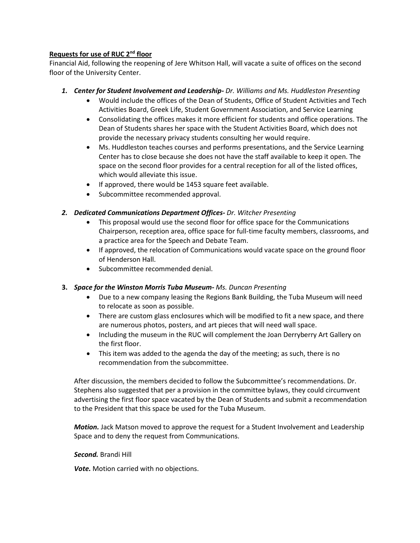# **Requests for use of RUC 2nd floor**

Financial Aid, following the reopening of Jere Whitson Hall, will vacate a suite of offices on the second floor of the University Center.

- *1. Center for Student Involvement and Leadership- Dr. Williams and Ms. Huddleston Presenting*
	- Would include the offices of the Dean of Students, Office of Student Activities and Tech Activities Board, Greek Life, Student Government Association, and Service Learning
	- Consolidating the offices makes it more efficient for students and office operations. The Dean of Students shares her space with the Student Activities Board, which does not provide the necessary privacy students consulting her would require.
	- Ms. Huddleston teaches courses and performs presentations, and the Service Learning Center has to close because she does not have the staff available to keep it open. The space on the second floor provides for a central reception for all of the listed offices, which would alleviate this issue.
	- If approved, there would be 1453 square feet available.
	- Subcommittee recommended approval.

# *2. Dedicated Communications Department Offices- Dr. Witcher Presenting*

- This proposal would use the second floor for office space for the Communications Chairperson, reception area, office space for full-time faculty members, classrooms, and a practice area for the Speech and Debate Team.
- If approved, the relocation of Communications would vacate space on the ground floor of Henderson Hall.
- Subcommittee recommended denial.

# **3.** *Space for the Winston Morris Tuba Museum- Ms. Duncan Presenting*

- Due to a new company leasing the Regions Bank Building, the Tuba Museum will need to relocate as soon as possible.
- There are custom glass enclosures which will be modified to fit a new space, and there are numerous photos, posters, and art pieces that will need wall space.
- Including the museum in the RUC will complement the Joan Derryberry Art Gallery on the first floor.
- This item was added to the agenda the day of the meeting; as such, there is no recommendation from the subcommittee.

After discussion, the members decided to follow the Subcommittee's recommendations. Dr. Stephens also suggested that per a provision in the committee bylaws, they could circumvent advertising the first floor space vacated by the Dean of Students and submit a recommendation to the President that this space be used for the Tuba Museum.

*Motion.* Jack Matson moved to approve the request for a Student Involvement and Leadership Space and to deny the request from Communications.

# *Second.* Brandi Hill

*Vote.* Motion carried with no objections.